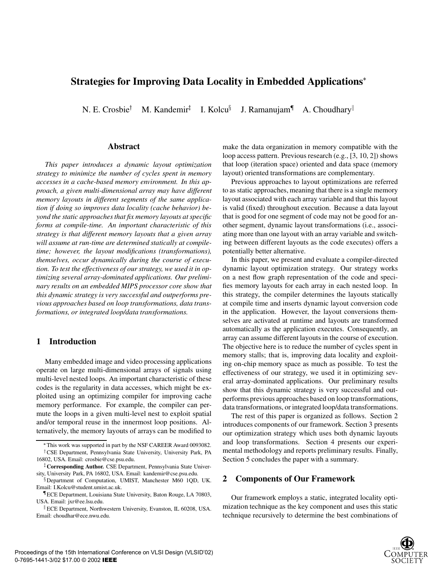# **Strategies for Improving Data Locality in Embedded Applications**

N. E. Crosbie<sup>†</sup> M. Kandemir $^{\ddagger}$  I. Kolcu $^{\S}$  J. F J. Ramanujam<sup>¶</sup> A. Choudhary<sup>||</sup>

#### **Abstract**

*This paper introduces a dynamic layout optimization strategy to minimize the number of cycles spent in memory accesses in a cache-based memory environment. In this approach, a given multi-dimensional array may have different memory layouts in different segments of the same application if doing so improves data locality (cache behavior) beyond the static approaches that fix memory layouts at specific forms at compile-time. An important characteristic of this strategy is that different memory layouts that a given array will assume at run-time are determined statically at compiletime; however, the layout modifications (transformations), themselves, occur dynamically during the course of execution. To test the effectiveness of our strategy, we used it in optimizing several array-dominated applications. Our preliminary results on an embedded MIPS processor core showthat this dynamic strategy is very successful and outperforms previous approaches based on loop transformations, data transformations, or integrated loop/data transformations.*

# **1 Introduction**

Many embedded image and video processing applications operate on large multi-dimensional arrays of signals using multi-level nested loops. An important characteristic of these codes is the regularity in data accesses, which might be exploited using an optimizing compiler for improving cache memory performance. For example, the compiler can permute the loops in a given multi-level nest to exploit spatial and/or temporal reuse in the innermost loop positions. Alternatively, the memory layouts of arrays can be modified to make the data organization in memory compatible with the loop access pattern. Previous research (e.g., [3, 10, 2]) shows that loop (iteration space) oriented and data space (memory layout) oriented transformations are complementary.

Previous approaches to layout optimizations are referred to as static approaches, meaning that there is a single memory layout associated with each array variable and that this layout is valid (fixed) throughout execution. Because a data layout that is good for one segment of code may not be good for another segment, dynamic layout transformations (i.e., associating more than one layout with an array variable and switching between different layouts as the code executes) offers a potentially better alternative.

In this paper, we present and evaluate a compiler-directed dynamic layout optimization strategy. Our strategy works on a nest flow graph representation of the code and specifies memory layouts for each array in each nested loop. In this strategy, the compiler determines the layouts statically at compile time and inserts dynamic layout conversion code in the application. However, the layout conversions themselves are activated at runtime and layouts are transformed automatically as the application executes. Consequently, an array can assume different layouts in the course of execution. The objective here is to reduce the number of cycles spent in memory stalls; that is, improving data locality and exploiting on-chip memory space as much as possible. To test the effectiveness of our strategy, we used it in optimizing several array-dominated applications. Our preliminary results show that this dynamic strategy is very successful and outperforms previous approaches based on loop transformations, data transformations, or integrated loop/data transformations.

The rest of this paper is organized as follows. Section 2 introduces components of our framework. Section 3 presents our optimization strategy which uses both dynamic layouts and loop transformations. Section 4 presents our experimental methodology and reports preliminary results. Finally, Section 5 concludes the paper with a summary.

## **2 Components of Our Framework**

Our framework employs a static, integrated locality optimization technique as the key component and uses this static technique recursively to determine the best combinations of



This work was supported in part by the NSF CAREER Award 0093082. <sup>†</sup> CSE Department, Pennsylvania State University, University Park, PA 16802, USA. Email: crosbie@cse.psu.edu.

<sup>z</sup> **Corresponding Author.** CSE Department, Pennsylvania State University, University Park, PA 16802, USA. Email: kandemir@cse.psu.edu.

<sup>&</sup>lt;sup>§</sup>Department of Computation, UMIST, Manchester M60 1QD, UK. Email: I.Kolcu@student.umist.ac.uk.

<sup>&</sup>lt;sup>I</sup> ECE Department, Louisiana State University, Baton Rouge, LA 70803, USA. Email: jxr@ee.lsu.edu.

<sup>k</sup> ECE Department, Northwestern University, Evanston, IL 60208, USA. Email: choudhar@ece.nwu.edu.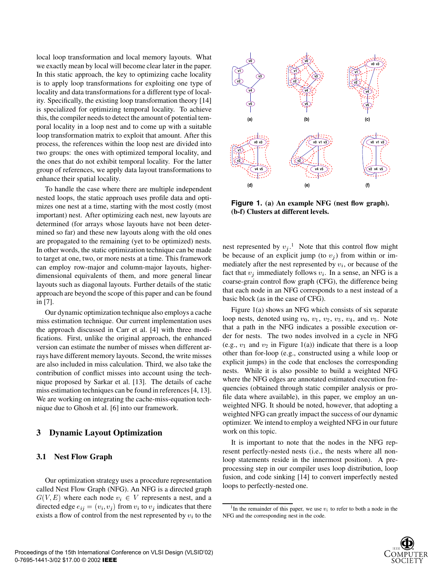local loop transformation and local memory layouts. What we exactly mean by local will become clear later in the paper. In this static approach, the key to optimizing cache locality is to apply loop transformations for exploiting one type of locality and data transformations for a different type of locality. Specifically, the existing loop transformation theory [14] is specialized for optimizing temporal locality. To achieve this, the compiler needs to detect the amount of potential temporal locality in a loop nest and to come up with a suitable loop transformation matrix to exploit that amount. After this process, the references within the loop nest are divided into two groups: the ones with optimized temporal locality, and the ones that do not exhibit temporal locality. For the latter group of references, we apply data layout transformations to enhance their spatial locality.

To handle the case where there are multiple independent nested loops, the static approach uses profile data and optimizes one nest at a time, starting with the most costly (most important) nest. After optimizing each nest, new layouts are determined (for arrays whose layouts have not been determined so far) and these new layouts along with the old ones are propagated to the remaining (yet to be optimized) nests. In other words, the static optimization technique can be made to target at one, two, or more nests at a time. This framework can employ row-major and column-major layouts, higherdimensional equivalents of them, and more general linear layouts such as diagonal layouts. Further details of the static approach are beyond the scope of this paper and can be found in [7].

Our dynamic optimization technique also employs a cache miss estimation technique. Our current implementation uses the approach discussed in Carr et al. [4] with three modifications. First, unlike the original approach, the enhanced version can estimate the number of misses when different arrays have different memory layouts. Second, the write misses are also included in miss calculation. Third, we also take the contribution of conflict misses into account using the technique proposed by Sarkar et al. [13]. The details of cache miss estimation techniques can be found in references [4, 13]. We are working on integrating the cache-miss-equation technique due to Ghosh et al. [6] into our framework.

## **3 Dynamic Layout Optimization**

#### **3.1 Nest Flow Graph**

Our optimization strategy uses a procedure representation called Nest Flow Graph (NFG). An NFG is a directed graph  $G(V, E)$  where each node  $v_i \in V$  represents a nest, and a directed edge  $e_{ij} = (v_i, v_j)$  from  $v_i$  to  $v_j$  indicates that there exists a flow of control from the nest represented by  $v_i$  to the



**Figure 1. (a) An example NFG (nest flow graph). (b-f) Clusters at different levels.**

nest represented by  $v_j$ .<sup>1</sup> Note that this control flow might be because of an explicit jump (to  $v_j$ ) from within or immediately after the nest represented by  $v_i$ , or because of the fact that  $v_i$  immediately follows  $v_i$ . In a sense, an NFG is a coarse-grain control flow graph (CFG), the difference being that each node in an NFG corresponds to a nest instead of a basic block (as in the case of CFG).

Figure  $1(a)$  shows an NFG which consists of six separate loop nests, denoted using  $v_0$ ,  $v_1$ ,  $v_2$ ,  $v_3$ ,  $v_4$ , and  $v_5$ . Note that a path in the NFG indicates a possible execution order for nests. The two nodes involved in a cycle in NFG (e.g.,  $v_1$  and  $v_2$  in Figure 1(a)) indicate that there is a loop other than for-loop (e.g., constructed using a while loop or explicit jumps) in the code that encloses the corresponding nests. While it is also possible to build a weighted NFG where the NFG edges are annotated estimated execution frequencies (obtained through static compiler analysis or profile data where available), in this paper, we employ an unweighted NFG. It should be noted, however, that adopting a weighted NFG can greatly impact the success of our dynamic optimizer. We intend to employ a weighted NFG in our future work on this topic.

It is important to note that the nodes in the NFG represent perfectly-nested nests (i.e., the nests where all nonloop statements reside in the innermost position). A preprocessing step in our compiler uses loop distribution, loop fusion, and code sinking [14] to convert imperfectly nested loops to perfectly-nested one.

<sup>&</sup>lt;sup>1</sup>In the remainder of this paper, we use  $v_i$  to refer to both a node in the NFG and the corresponding nest in the code.

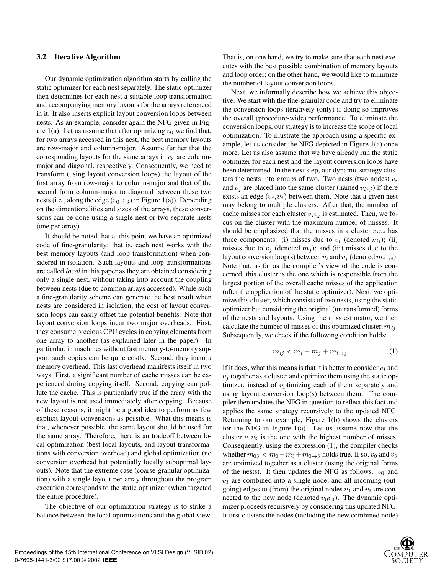#### **3.2 Iterative Algorithm**

Our dynamic optimization algorithm starts by calling the static optimizer for each nest separately. The static optimizer then determines for each nest a suitable loop transformation and accompanying memory layouts for the arrays referenced in it. It also inserts explicit layout conversion loops between nests. As an example, consider again the NFG given in Figure 1(a). Let us assume that after optimizing  $v_0$  we find that, for two arrays accessed in this nest, the best memory layouts are row-major and column-major. Assume further that the corresponding layouts for the same arrays in  $v_3$  are columnmajor and diagonal, respectively. Consequently, we need to transform (using layout conversion loops) the layout of the first array from row-major to column-major and that of the second from column-major to diagonal between these two nests (i.e., along the edge  $(v_0, v_3)$  in Figure 1(a)). Depending on the dimentionalities and sizes of the arrays, these conversions can be done using a single nest or two separate nests (one per array).

It should be noted that at this point we have an optimized code of fine-granularity; that is, each nest works with the best memory layouts (and loop transformation) when considered in isolation. Such layouts and loop transformations are called *local* in this paper as they are obtained considering only a single nest, without taking into account the coupling between nests (due to common arrays accessed). While such a fine-granularity scheme can generate the best result when nests are considered in isolation, the cost of layout conversion loops can easily offset the potential benefits. Note that layout conversion loops incur two major overheads. First, they consume precious CPU cycles in copying elements from one array to another (as explained later in the paper). In particular, in machines without fast memory-to-memory support, such copies can be quite costly. Second, they incur a memory overhead. This last overhead manifests itself in two ways. First, a significant number of cache misses can be experienced during copying itself. Second, copying can pollute the cache. This is particularly true if the array with the new layout is not used immediately after copying. Because of these reasons, it might be a good idea to perform as few explicit layout conversions as possible. What this means is that, whenever possible, the same layout should be used for the same array. Therefore, there is an tradeoff between local optimization (best local layouts, and layout transformations with conversion overhead) and global optimization (no conversion overhead but potentially locally suboptimal layouts). Note that the extreme case (coarse-granular optimization) with a single layout per array throughout the program execution corresponds to the static optimizer (when targeted the entire procedure).

The objective of our optimization strategy is to strike a balance between the local optimizations and the global view.

That is, on one hand, we try to make sure that each nest executes with the best possible combination of memory layouts and loop order; on the other hand, we would like to minimize the number of layout conversion loops.

Next, we informally describe how we achieve this objective. We start with the fine-granular code and try to eliminate the conversion loops iteratively (only) if doing so improves the overall (procedure-wide) performance. To eliminate the conversion loops, our strategy is to increase the scope of local optimization. To illustrate the approach using a specific example, let us consider the NFG depicted in Figure 1(a) once more. Let us also assume that we have already run the static optimizer for each nest and the layout conversion loops have been determined. In the next step, our dynamic strategy clusters the nests into groups of two. Two nests (two nodes)  $v_i$ and  $v_j$  are placed into the same cluster (named  $v_i v_j$ ) if there exists an edge  $(v_i, v_j)$  between them. Note that a given nest may belong to multiple clusters. After that, the number of cache misses for each cluster  $v_i v_j$  is estimated. Then, we focus on the cluster with the maximum number of misses. It should be emphasized that the misses in a cluster  $v_i v_j$  has three components: (i) misses due to  $v_i$  (denoted  $m_i$ ); (ii) misses due to  $v_i$  (denoted  $m_i$ ); and (iii) misses due to the layout conversion loop(s) between  $v_i$  and  $v_j$  (denoted  $m_{i \to j}$ ). Note that, as far as the compiler's view of the code is concerned, this cluster is the one which is responsible from the largest portion of the overall cache misses of the application (after the application of the static optimizer). Next, we optimize this cluster, which consists of two nests, using the static optimizer but considering the original (untransformed) forms of the nests and layouts. Using the miss estimator, we then calculate the number of misses of this optimized cluster,  $m_{ij}$ . Subsequently, we check if the following condition holds:

$$
m_{ij} < m_i + m_j + m_{i \to j} \tag{1}
$$

If it does, what this means is that it is better to consider  $v_i$  and  $v_i$  together as a cluster and optimize them using the static optimizer, instead of optimizing each of them separately and using layout conversion loop(s) between them. The compiler then updates the NFG in question to reflect this fact and applies the same strategy recursively to the updated NFG. Returning to our example, Figure 1(b) shows the clusters for the NFG in Figure 1(a). Let us assume now that the cluster  $v_0v_3$  is the one with the highest number of misses. Consequently, using the expression (1), the compiler checks whether  $m_{03} < m_0 + m_3 + m_{0\rightarrow 3}$  holds true. If so,  $v_0$  and  $v_3$ are optimized together as a cluster (using the original forms of the nests). It then updates the NFG as follows.  $v_0$  and  $v_3$  are combined into a single node, and all incoming (outgoing) edges to (from) the original nodes  $v_0$  and  $v_3$  are connected to the new node (denoted  $v_0v_3$ ). The dynamic optimizer proceeds recursively by considering this updated NFG. It first clusters the nodes (including the new combined node)

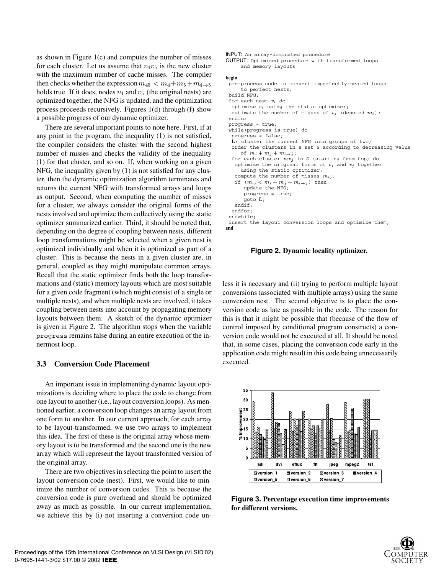as shown in Figure  $1(c)$  and computes the number of misses for each cluster. Let us assume that  $v_4v_5$  is the new cluster with the maximum number of cache misses. The compiler then checks whether the expression  $m_{45} < m_4 + m_5 + m_{4 \to 5}$ holds true. If it does, nodes  $v_4$  and  $v_5$  (the original nests) are optimized together, the NFG is updated, and the optimization process proceeds recursively. Figures 1(d) through (f) show a possible progress of our dynamic optimizer.

There are several important points to note here. First, if at any point in the program, the inequality (1) is not satisfied, the compiler considers the cluster with the second highest number of misses and checks the validity of the inequality (1) for that cluster, and so on. If, when working on a given NFG, the inequality given by (1) is not satisfied for any cluster, then the dynamic optimization algorithm terminates and returns the current NFG with transformed arrays and loops as output. Second, when computing the number of misses for a cluster, we always consider the original forms of the nests involved and optimize them collectively using the static optimizer summarized earlier. Third, it should be noted that, depending on the degree of coupling between nests, different loop transformations might be selected when a given nest is optimized individually and when it is optimized as part of a cluster. This is because the nests in a given cluster are, in general, coupled as they might manipulate common arrays. Recall that the static optimizer finds both the loop transformations and (static) memory layouts which are most suitable for a given code fragment (which might consist of a single or multiple nests), and when multiple nests are involved, it takes coupling between nests into account by propagating memory layouts between them. A sketch of the dynamic optimizer is given in Figure 2. The algorithm stops when the variable progress remains false during an entire execution of the innermost loop.

## **3.3 Conversion Code Placement**

An important issue in implementing dynamic layout optimizations is deciding where to place the code to change from one layout to another (i.e., layout conversion loops). As mentioned earlier, a conversion loop changes an array layout from one form to another. In our current approach, for each array to be layout-transformed, we use two arrays to implement this idea. The first of these is the original array whose memory layout is to be transformed and the second one is the new array which will represent the layout transformed version of the original array.

There are two objectives in selecting the point to insert the layout conversion code (nest). First, we would like to minimize the number of conversion codes. This is because the conversion code is pure overhead and should be optimized away as much as possible. In our current implementation, we achieve this by (i) not inserting a conversion code unINPUT: An array-dominated procedure OUTPUT: Optimized procedure with transformed loops and memory layouts **begin** pre-process code to convert imperfectly-nested loops to perfect nests; build NFG; for each nest  $v_i$  do optimize  $v_i$  using the static optimizer; estimate the number of misses of  $v_i$  (denoted  $m_i$ ); endfor progress = true; while(progress is true) do progress = false; **L**: cluster the current NFG into groups of two; order the clusters in a set S according to decreasing value of  $m_i + m_j + m_{i \to j}$ ; for each cluster  $v_i v_j$  in S (starting from top) do optimize the original forms of  $v_i$  and  $v_j$  together using the static optimizer; compute the number of misses  $m_{ij}$ ; if  $(m_{ij} < m_i + m_j + m_{i \to j})$  then update the NFG; progress = true; goto **L**; endif; endfor; endwhile; insert the layout conversion loops and optimize them; **end**

**Figure 2. Dynamic locality optimizer.**

less it is necessary and (ii) trying to perform multiple layout conversions (associated with multiple arrays) using the same conversion nest. The second objective is to place the conversion code as late as possible in the code. The reason for this is that it might be possible that (because of the flow of control imposed by conditional program constructs) a conversion code would not be executed at all. It should be noted that, in some cases, placing the conversion code early in the application code might result in this code being unnecessarily executed.



**Figure 3. Percentage execution time improvements for different versions.**

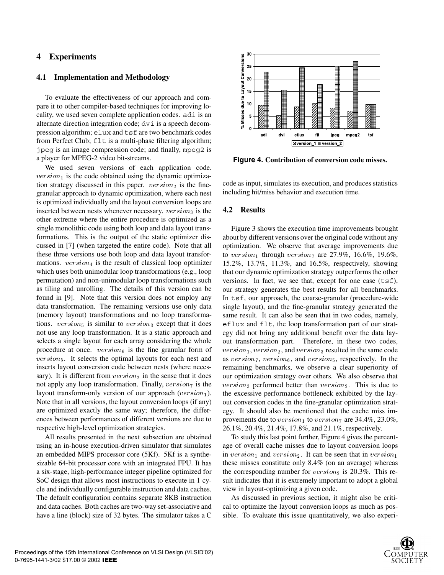# **4 Experiments**

#### **4.1 Implementation and Methodology**

To evaluate the effectiveness of our approach and compare it to other compiler-based techniques for improving locality, we used seven complete application codes. adi is an alternate direction integration code; dvi is a speech decompression algorithm; elux and tsf are two benchmark codes from Perfect Club;  $f \perp t$  is a multi-phase filtering algorithm; jpeg is an image compression code; and finally, mpeg2 is a player for MPEG-2 video bit-streams.

We used seven versions of each application code.  $version<sub>1</sub>$  is the code obtained using the dynamic optimization strategy discussed in this paper.  $version_2$  is the finegranular approach to dynamic optimization, where each nest is optimized individually and the layout conversion loops are inserted between nests whenever necessary.  $version_3$  is the other extreme where the entire procedure is optimized as a single monolithic code using both loop and data layout transformations. This is the output of the static optimizer discussed in [7] (when targeted the entire code). Note that all these three versions use both loop and data layout transformations.  $version<sub>4</sub>$  is the result of classical loop optimizer which uses both unimodular loop transformations (e.g., loop permutation) and non-unimodular loop transformations such as tiling and unrolling. The details of this version can be found in [9]. Note that this version does not employ any data transformation. The remaining versions use only data (memory layout) transformations and no loop transformations.  $version_5$  is similar to  $version_3$  except that it does not use any loop transformation. It is a static approach and selects a single layout for each array considering the whole procedure at once.  $version_6$  is the fine granular form of  $version<sub>5</sub>$ . It selects the optimal layouts for each nest and inserts layout conversion code between nests (where necessary). It is different from  $version_2$  in the sense that it does not apply any loop transformation. Finally,  $version_7$  is the layout transform-only version of our approach ( $version_1$ ). Note that in all versions, the layout conversion loops (if any) are optimized exactly the same way; therefore, the differences between performances of different versions are due to respective high-level optimization strategies.

All results presented in the next subsection are obtained using an in-house execution-driven simulator that simulates an embedded MIPS processor core (5Kf). 5Kf is a synthesizable 64-bit processor core with an integrated FPU. It has a six-stage, high-performance integer pipeline optimized for SoC design that allows most instructions to execute in 1 cycle and individually configurable instruction and data caches. The default configuration contains separate 8KB instruction and data caches. Both caches are two-way set-associative and have a line (block) size of 32 bytes. The simulator takes a C



**Figure 4. Contribution of conversion code misses.**

code as input, simulates its execution, and produces statistics including hit/miss behavior and execution time.

## **4.2 Results**

Figure 3 shows the execution time improvements brought about by different versions over the original code without any optimization. We observe that average improvements due to version<sub>1</sub> through version<sub>7</sub> are 27.9%, 16.6%, 19.6%, 15.2%, 13.7%, 11.3%, and 16.5%, respectively, showing that our dynamic optimization strategy outperforms the other versions. In fact, we see that, except for one case (tsf), our strategy generates the best results for all benchmarks. In tsf, our approach, the coarse-granular (procedure-wide single layout), and the fine-granular strategy generated the same result. It can also be seen that in two codes, namely, eflux and flt, the loop transformation part of our strategy did not bring any additional benefit over the data layout transformation part. Therefore, in these two codes,  $version<sub>1</sub>, version<sub>2</sub>, and version<sub>3</sub> resulted in the same code$ as version<sub>7</sub>, version<sub>6</sub>, and version<sub>5</sub>, respectively. In the remaining benchmarks, we observe a clear superiority of our optimization strategy over others. We also observe that  $version_3$  performed better than  $version_2$ . This is due to the excessive performance bottleneck exhibited by the layout conversion codes in the fine-granular optimization strategy. It should also be mentioned that the cache miss improvements due to  $version_1$  to  $version_7$  are 34.4%, 23.0%, 26.1%, 20.4%, 21.4%, 17.8%, and 21.1%, respectively.

To study this last point further, Figure 4 gives the percentage of overall cache misses due to layout conversion loops in version<sub>1</sub> and version<sub>2</sub>. It can be seen that in version<sub>1</sub> these misses constitute only 8.4% (on an average) whereas the corresponding number for  $version_2$  is 20.3%. This result indicates that it is extremely important to adopt a global view in layout-optimizing a given code.

As discussed in previous section, it might also be critical to optimize the layout conversion loops as much as possible. To evaluate this issue quantitatively, we also experi-